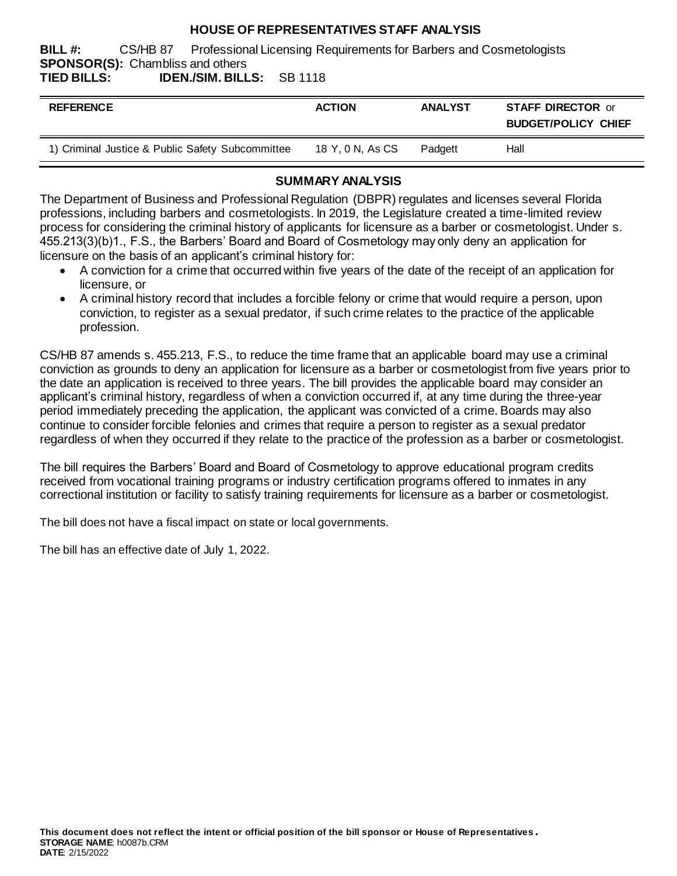### **HOUSE OF REPRESENTATIVES STAFF ANALYSIS**

**BILL #:** CS/HB 87 Professional Licensing Requirements for Barbers and Cosmetologists **SPONSOR(S):** Chambliss and others **CR 1118** 

| TIED BILLS: | <b>IDEN./SIM. BILLS:</b> SB 1118 |  |
|-------------|----------------------------------|--|
|             |                                  |  |

| <b>REFERENCE</b>                                 | <b>ACTION</b>    | <b>ANALYST</b> | <b>STAFF DIRECTOR or</b><br><b>BUDGET/POLICY CHIEF</b> |
|--------------------------------------------------|------------------|----------------|--------------------------------------------------------|
| 1) Criminal Justice & Public Safety Subcommittee | 18 Y, 0 N, As CS | Padgett        | Hall                                                   |

### **SUMMARY ANALYSIS**

The Department of Business and Professional Regulation (DBPR) regulates and licenses several Florida professions, including barbers and cosmetologists. In 2019, the Legislature created a time-limited review process for considering the criminal history of applicants for licensure as a barber or cosmetologist. Under s. 455.213(3)(b)1., F.S., the Barbers' Board and Board of Cosmetology may only deny an application for licensure on the basis of an applicant's criminal history for:

- A conviction for a crime that occurred within five years of the date of the receipt of an application for licensure, or
- A criminal history record that includes a forcible felony or crime that would require a person, upon conviction, to register as a sexual predator, if such crime relates to the practice of the applicable profession.

CS/HB 87 amends s. 455.213, F.S., to reduce the time frame that an applicable board may use a criminal conviction as grounds to deny an application for licensure as a barber or cosmetologist from five years prior to the date an application is received to three years. The bill provides the applicable board may consider an applicant's criminal history, regardless of when a conviction occurred if, at any time during the three-year period immediately preceding the application, the applicant was convicted of a crime. Boards may also continue to consider forcible felonies and crimes that require a person to register as a sexual predator regardless of when they occurred if they relate to the practice of the profession as a barber or cosmetologist.

The bill requires the Barbers' Board and Board of Cosmetology to approve educational program credits received from vocational training programs or industry certification programs offered to inmates in any correctional institution or facility to satisfy training requirements for licensure as a barber or cosmetologist.

The bill does not have a fiscal impact on state or local governments.

The bill has an effective date of July 1, 2022.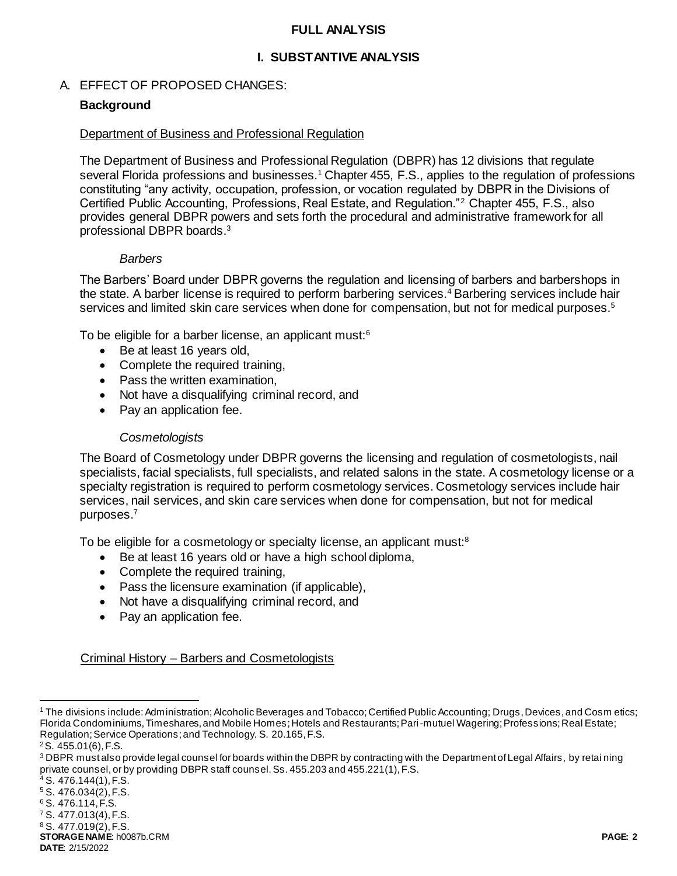#### **FULL ANALYSIS**

### **I. SUBSTANTIVE ANALYSIS**

#### A. EFFECT OF PROPOSED CHANGES:

#### **Background**

#### Department of Business and Professional Regulation

The Department of Business and Professional Regulation (DBPR) has 12 divisions that regulate several Florida professions and businesses.<sup>1</sup> Chapter 455, F.S., applies to the regulation of professions constituting "any activity, occupation, profession, or vocation regulated by DBPR in the Divisions of Certified Public Accounting, Professions, Real Estate, and Regulation."<sup>2</sup> Chapter 455, F.S., also provides general DBPR powers and sets forth the procedural and administrative framework for all professional DBPR boards. 3

#### *Barbers*

The Barbers' Board under DBPR governs the regulation and licensing of barbers and barbershops in the state. A barber license is required to perform barbering services.<sup>4</sup> Barbering services include hair services and limited skin care services when done for compensation, but not for medical purposes.<sup>5</sup>

To be eligible for a barber license, an applicant must:<sup>6</sup>

- Be at least 16 years old,
- Complete the required training,
- Pass the written examination,
- Not have a disqualifying criminal record, and
- Pay an application fee.

#### *Cosmetologists*

The Board of Cosmetology under DBPR governs the licensing and regulation of cosmetologists, nail specialists, facial specialists, full specialists, and related salons in the state. A cosmetology license or a specialty registration is required to perform cosmetology services. Cosmetology services include hair services, nail services, and skin care services when done for compensation, but not for medical purposes. 7

To be eligible for a cosmetology or specialty license, an applicant must:<sup>8</sup>

- Be at least 16 years old or have a high school diploma,
- Complete the required training,
- Pass the licensure examination (if applicable),
- Not have a disqualifying criminal record, and
- Pay an application fee.

Criminal History – Barbers and Cosmetologists

l

<sup>1</sup> The divisions include: Administration; Alcoholic Beverages and Tobacco; Certified Public Accounting; Drugs, Devices, and Cosm etics; Florida Condominiums, Timeshares, and Mobile Homes; Hotels and Restaurants; Pari-mutuel Wagering; Professions; Real Estate; Regulation; Service Operations; and Technology. S. 20.165, F.S.

<sup>2</sup>S. 455.01(6), F.S.

<sup>&</sup>lt;sup>3</sup> DBPR must also provide legal counsel for boards within the DBPR by contracting with the Department of Legal Affairs, by retai ning private counsel, or by providing DBPR staff counsel. Ss. 455.203 and 455.221(1), F.S.

S. 476.144(1), F.S.

<sup>5</sup> S. 476.034(2), F.S.

<sup>6</sup> S. 476.114, F.S.

<sup>7</sup> S. 477.013(4), F.S.

<sup>8</sup> S. 477.019(2), F.S.

**STORAGE NAME**: h0087b.CRM **PAGE: 2 DATE**: 2/15/2022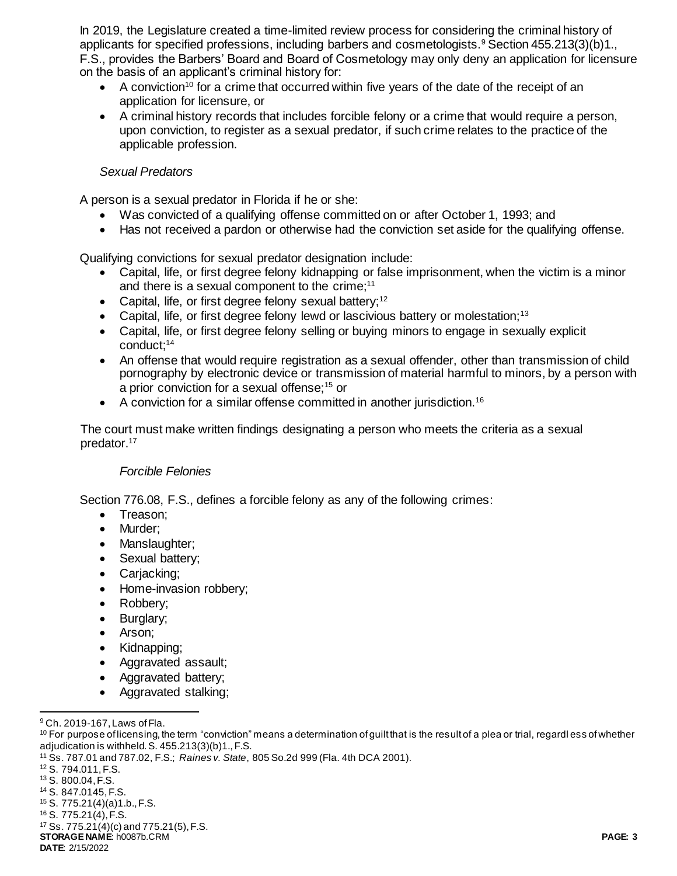In 2019, the Legislature created a time-limited review process for considering the criminal history of applicants for specified professions, including barbers and cosmetologists.<sup>9</sup> Section 455.213(3)(b)1., F.S., provides the Barbers' Board and Board of Cosmetology may only deny an application for licensure on the basis of an applicant's criminal history for:

- $\bullet$  A conviction<sup>10</sup> for a crime that occurred within five years of the date of the receipt of an application for licensure, or
- A criminal history records that includes forcible felony or a crime that would require a person, upon conviction, to register as a sexual predator, if such crime relates to the practice of the applicable profession.

### *Sexual Predators*

A person is a sexual predator in Florida if he or she:

- Was convicted of a qualifying offense committed on or after October 1, 1993; and
- Has not received a pardon or otherwise had the conviction set aside for the qualifying offense.

Qualifying convictions for sexual predator designation include:

- Capital, life, or first degree felony kidnapping or false imprisonment, when the victim is a minor and there is a sexual component to the crime;<sup>11</sup>
- Capital, life, or first degree felony sexual battery;<sup>12</sup>
- Capital, life, or first degree felony lewd or lascivious battery or molestation;<sup>13</sup>
- Capital, life, or first degree felony selling or buying minors to engage in sexually explicit conduct;<sup>14</sup>
- An offense that would require registration as a sexual offender, other than transmission of child pornography by electronic device or transmission of material harmful to minors, by a person with a prior conviction for a sexual offense;<sup>15</sup> or
- $\bullet$  A conviction for a similar offense committed in another jurisdiction.<sup>16</sup>

The court must make written findings designating a person who meets the criteria as a sexual predator.<sup>17</sup>

### *Forcible Felonies*

Section 776.08, F.S., defines a forcible felony as any of the following crimes:

- Treason;
- Murder;
- Manslaughter;
- Sexual battery;
- Carjacking;
- Home-invasion robbery;
- Robbery;
- Burglary;
- Arson;
- Kidnapping;
- Aggravated assault;
- Aggravated battery;
- Aggravated stalking;

<sup>13</sup> S. 800.04, F.S.

- <sup>15</sup> S. 775.21(4)(a)1.b., F.S.
- <sup>16</sup> S. 775.21(4), F.S.

**STORAGE NAME**: h0087b.CRM **PAGE: 3** <sup>17</sup> Ss. 775.21(4)(c) and 775.21(5), F.S.

l <sup>9</sup> Ch. 2019-167, Laws of Fla.

<sup>&</sup>lt;sup>10</sup> For purpose of licensing, the term "conviction" means a determination of guilt that is the result of a plea or trial, regardl ess of whether adjudication is withheld. S. 455.213(3)(b)1., F.S.

<sup>11</sup> Ss. 787.01 and 787.02, F.S.; *Raines v. State*, 805 So.2d 999 (Fla. 4th DCA 2001).

<sup>12</sup> S. 794.011, F.S.

<sup>14</sup> S. 847.0145, F.S.

**DATE**: 2/15/2022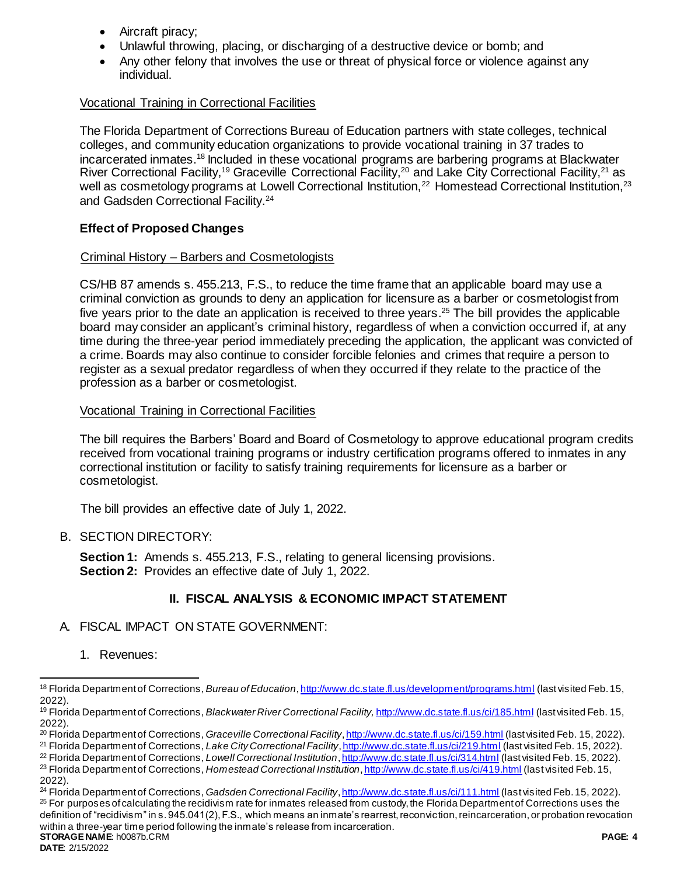- Aircraft piracy;
- Unlawful throwing, placing, or discharging of a destructive device or bomb; and
- Any other felony that involves the use or threat of physical force or violence against any individual.

## Vocational Training in Correctional Facilities

The Florida Department of Corrections Bureau of Education partners with state colleges, technical colleges, and community education organizations to provide vocational training in 37 trades to incarcerated inmates.<sup>18</sup> Included in these vocational programs are barbering programs at Blackwater River Correctional Facility,<sup>19</sup> Graceville Correctional Facility,<sup>20</sup> and Lake City Correctional Facility,<sup>21</sup> as well as cosmetology programs at Lowell Correctional Institution,<sup>22</sup> Homestead Correctional Institution,<sup>23</sup> and Gadsden Correctional Facility.<sup>24</sup>

## **Effect of Proposed Changes**

### Criminal History – Barbers and Cosmetologists

CS/HB 87 amends s. 455.213, F.S., to reduce the time frame that an applicable board may use a criminal conviction as grounds to deny an application for licensure as a barber or cosmetologist from five years prior to the date an application is received to three years. <sup>25</sup> The bill provides the applicable board may consider an applicant's criminal history, regardless of when a conviction occurred if, at any time during the three-year period immediately preceding the application, the applicant was convicted of a crime. Boards may also continue to consider forcible felonies and crimes that require a person to register as a sexual predator regardless of when they occurred if they relate to the practice of the profession as a barber or cosmetologist.

### Vocational Training in Correctional Facilities

The bill requires the Barbers' Board and Board of Cosmetology to approve educational program credits received from vocational training programs or industry certification programs offered to inmates in any correctional institution or facility to satisfy training requirements for licensure as a barber or cosmetologist.

The bill provides an effective date of July 1, 2022.

## B. SECTION DIRECTORY:

**Section 1:** Amends s. 455.213, F.S., relating to general licensing provisions. **Section 2:** Provides an effective date of July 1, 2022.

## **II. FISCAL ANALYSIS & ECONOMIC IMPACT STATEMENT**

## A. FISCAL IMPACT ON STATE GOVERNMENT:

1. Revenues:

l

<sup>18</sup> Florida Department of Corrections, *Bureau of Education*[, http://www.dc.state.fl.us/development/programs.html](http://www.dc.state.fl.us/development/programs.html) (last visited Feb. 15, 2022).

<sup>19</sup> Florida Department of Corrections, *Blackwater River Correctional Facility,* <http://www.dc.state.fl.us/ci/185.html> (last visited Feb. 15, 2022).

<sup>20</sup> Florida Department of Corrections, *Graceville Correctional Facility*[, http://www.dc.state.fl.us/ci/159.html](http://www.dc.state.fl.us/ci/159.html) (last visited Feb. 15, 2022).

<sup>21</sup> Florida Department of Corrections, *Lake City Correctional Facility*[, http://www.dc.state.fl.us/ci/219.html](http://www.dc.state.fl.us/ci/219.html) (last visited Feb. 15, 2022).

<sup>22</sup> Florida Department of Corrections, *Lowell Correctional Institution*[, http://www.dc.state.fl.us/ci/314.html](http://www.dc.state.fl.us/ci/314.html) (last visited Feb. 15, 2022). <sup>23</sup> Florida Department of Corrections, *Homestead Correctional Institution*[, http://www.dc.state.fl.us/ci/419.html](http://www.dc.state.fl.us/ci/419.html) (last visited Feb. 15, 2022).

**STORAGE NAME**: h0087b.CRM **PAGE: 4** <sup>24</sup> Florida Department of Corrections, *Gadsden Correctional Facility*[, http://www.dc.state.fl.us/ci/111.html](http://www.dc.state.fl.us/ci/111.html) (last visited Feb. 15, 2022).  $25$  For purposes of calculating the recidivism rate for inmates released from custody, the Florida Department of Corrections uses the definition of "recidivism" in s. 945.041(2), F.S., which means an inmate's rearrest, reconviction, reincarceration, or probation revocation within a three-year time period following the inmate's release from incarceration.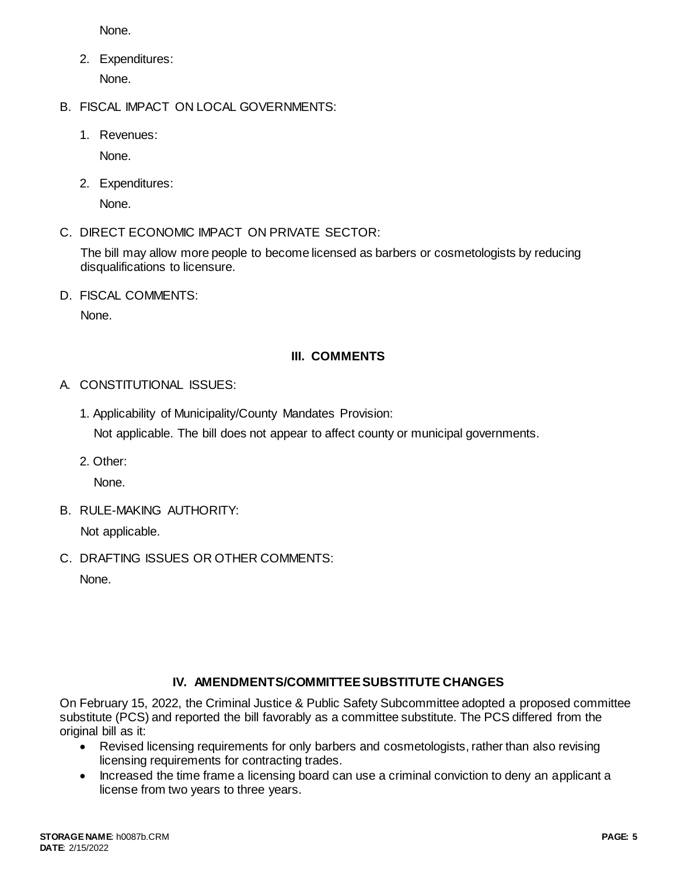None.

- 2. Expenditures: None.
- B. FISCAL IMPACT ON LOCAL GOVERNMENTS:
	- 1. Revenues:

None.

2. Expenditures:

None.

C. DIRECT ECONOMIC IMPACT ON PRIVATE SECTOR:

The bill may allow more people to become licensed as barbers or cosmetologists by reducing disqualifications to licensure.

D. FISCAL COMMENTS:

None.

## **III. COMMENTS**

- A. CONSTITUTIONAL ISSUES:
	- 1. Applicability of Municipality/County Mandates Provision:

Not applicable. The bill does not appear to affect county or municipal governments.

2. Other:

None.

B. RULE-MAKING AUTHORITY:

Not applicable.

C. DRAFTING ISSUES OR OTHER COMMENTS:

None.

# **IV. AMENDMENTS/COMMITTEE SUBSTITUTE CHANGES**

On February 15, 2022, the Criminal Justice & Public Safety Subcommittee adopted a proposed committee substitute (PCS) and reported the bill favorably as a committee substitute. The PCS differed from the original bill as it:

- Revised licensing requirements for only barbers and cosmetologists, rather than also revising licensing requirements for contracting trades.
- Increased the time frame a licensing board can use a criminal conviction to deny an applicant a license from two years to three years.